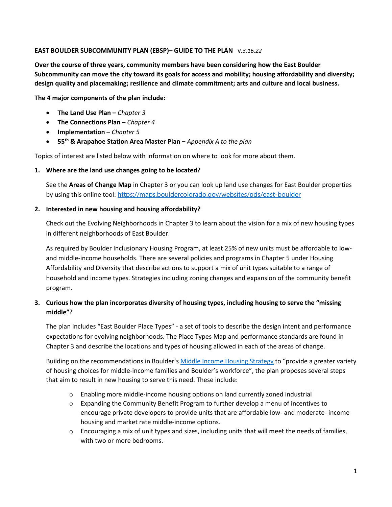### **EAST BOULDER SUBCOMMUNITY PLAN (EBSP)– GUIDE TO THE PLAN** v*.3.16.22*

**Over the course of three years, community members have been considering how the East Boulder Subcommunity can move the city toward its goals for access and mobility; housing affordability and diversity; design quality and placemaking; resilience and climate commitment; arts and culture and local business.** 

**The 4 major components of the plan include:** 

- **The Land Use Plan –** *Chapter 3*
- **The Connections Plan** *Chapter 4*
- **Implementation –** *Chapter 5*
- **55th & Arapahoe Station Area Master Plan –** *Appendix A to the plan*

Topics of interest are listed below with information on where to look for more about them.

**1. Where are the land use changes going to be located?** 

See the **Areas of Change Map** in Chapter 3 or you can look up land use changes for East Boulder properties by using this online tool: <https://maps.bouldercolorado.gov/websites/pds/east-boulder>

#### **2. Interested in new housing and housing affordability?**

Check out the Evolving Neighborhoods in Chapter 3 to learn about the vision for a mix of new housing types in different neighborhoods of East Boulder.

As required by Boulder Inclusionary Housing Program, at least 25% of new units must be affordable to lowand middle-income households. There are several policies and programs in Chapter 5 under Housing Affordability and Diversity that describe actions to support a mix of unit types suitable to a range of household and income types. Strategies including zoning changes and expansion of the community benefit program.

# **3. Curious how the plan incorporates diversity of housing types, including housing to serve the "missing middle"?**

The plan includes "East Boulder Place Types" - a set of tools to describe the design intent and performance expectations for evolving neighborhoods. The Place Types Map and performance standards are found in Chapter 3 and describe the locations and types of housing allowed in each of the areas of change.

Building on the recommendations in Boulder's [Middle Income Housing Strategy](https://bouldercolorado.gov/media/5758/download?inline) to "provide a greater variety of housing choices for middle-income families and Boulder's workforce", the plan proposes several steps that aim to result in new housing to serve this need. These include:

- o Enabling more middle-income housing options on land currently zoned industrial
- $\circ$  Expanding the Community Benefit Program to further develop a menu of incentives to encourage private developers to provide units that are affordable low- and moderate- income housing and market rate middle-income options.
- $\circ$  Encouraging a mix of unit types and sizes, including units that will meet the needs of families, with two or more bedrooms.